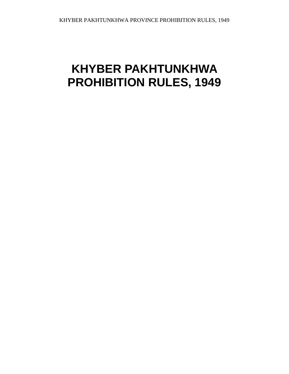# **KHYBER PAKHTUNKHWA PROHIBITION RULES, 1949**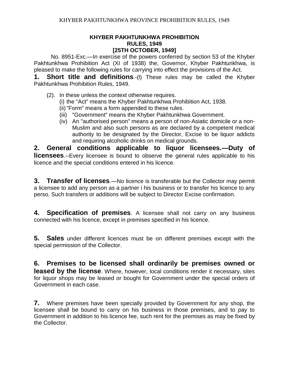# **KHYBER PAKHTUNKHWA PROHIBITION RULES, 1949 [25TH OCTOBER, 1949]**

No. 8951-Exc.—In exercise of the powers conferred by section 53 of the Khyber Pakhtunkhwa Prohibition Act (XI of 1938) the, Governor, Khyber Pakhtunkhwa, is pleased to make the following rules for carrying into effect the provisions of the Act.

**1. Short title and definitions**.-(l) These rules may be called the Khyber Pakhtunkhwa Prohibition Rules, 1949.

- (2). In these unless the context otherwise requires.
	- (i) the "Act" means the Khyber Pakhtunkhwa Prohibition Act, 1938.
	- (ii)"Form" means a form appended to these rules.
	- (iii) "Government" means the Khyber Pakhtunkhwa Government.
	- (iv) An "authorised person" means a person of non-Asiatic domicile or a non-Muslim and also such persons as are declared by a competent medical authority to be designated by the Director, Excise to be liquor addicts and requiring alcoholic drinks on medical grounds.

**2. General conditions applicable to liquor licensees.—Duty of licensees.**--Every licensee is bound to observe the general rules applicable to his licence and the special conditions entered in his licence.

**3. Transfer of licenses**.—No licence is transferable but the Collector may permit a licensee to add any person as a partner i his business or to transfer his licence to any perso. Such transfers or additions will be subject to Director Excise confirmation.

**4. Specification of premises**. A licensee shall not carry on any business connected with his licence, except in premises specified in his licence.

**5. Sales** under different licences must be on different premises except with the special permission of the Collector.

**6. Premises to be licensed shall ordinarily be premises owned or leased by the license**. Where, however, local conditions render it necessary, sites for liquor shops may be leased or bought for Government under the special orders of Government in each case.

**7.** Where premises have been specially provided by Government for any shop, the licensee shall be bound to carry on his business in those premises, and to pay to Government in addition to his licence fee, such rent for the premises as may be fixed by the Collector.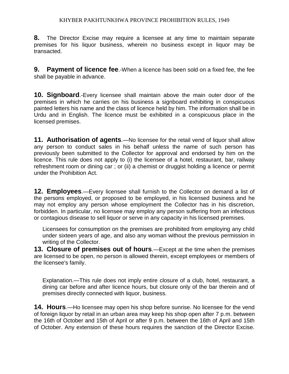**8.** The Director Excise may require a licensee at any time to maintain separate premises for his liquor business, wherein no business except in liquor may be transacted.

**9. Payment of licence fee**.-When a licence has been sold on a fixed fee, the fee shall be payable in advance.

**10. Signboard**.-Every licensee shall maintain above the main outer door of the premises in which he carries on his business a signboard exhibiting in conspicuous painted letters his name and the class of licence held by him. The information shall be in Urdu and in English. The licence must be exhibited in a conspicuous place in the licensed premises.

**11. Authorisation of agents**.—No licensee for the retail vend of liquor shall allow any person to conduct sales in his behalf unless the name of such person has previously been submitted to the Collector for approval and endorsed by him on the licence. This rule does not apply to (i) the licensee of a hotel, restaurant, bar, railway refreshment room or dining car ; or (ii) a chemist or druggist holding a licence or permit under the Prohibition Act.

**12. Employees**.—Every licensee shall furnish to the Collector on demand a list of the persons employed, or proposed to be employed, in his licensed business and he may not employ any person whose employment the Collector has in his discretion, forbidden. In particular, no licensee may employ any person suffering from an infectious or contagious disease to sell liquor or serve in any capacity in his licensed premises.

Licensees for consumption on the premises are prohibited from employing any child under sixteen years of age, and also any woman without the previous permission in writing of the Collector.

**13. Closure of premises out of hours**.—Except at the time when the premises are licensed to be open, no person is allowed therein, except employees or members of the licensee's family.

Explanation.—This rule does not imply entire closure of a club, hotel, restaurant, a dining car before and after licence hours, but closure only of the bar therein and of premises directly connected with liquor, business.

**14. Hours**.—Ho licensee may open his shop before sunrise. No licensee for the vend of foreign liquor by retail in an urban area may keep his shop open after 7 p.m. between the 16th of October and 15th of April or after 9 p.m. between the 16th of April and 15th of October. Any extension of these hours requires the sanction of the Director Excise.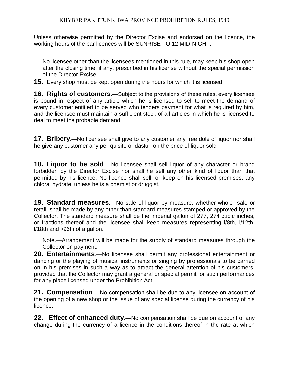Unless otherwise permitted by the Director Excise and endorsed on the licence, the working hours of the bar licences will be SUNRISE TO 12 MID-NIGHT.

No licensee other than the licensees mentioned in this rule, may keep his shop open after the closing time, if any, prescribed in his license without the special permission of the Director Excise.

**15.** Every shop must be kept open during the hours for which it is licensed.

**16. Rights of customers**.—Subject to the provisions of these rules, every licensee is bound in respect of any article which he is licensed to sell to meet the demand of every customer entitled to be served who tenders payment for what is required by him, and the licensee must maintain a sufficient stock of all articles in which he is licensed to deal to meet the probable demand.

**17. Bribery**.—No licensee shall give to any customer any free dole of liquor nor shall he give any customer any per-quisite or dasturi on the price of liquor sold.

**18. Liquor to be sold**.—No licensee shall sell liquor of any character or brand forbidden by the Director Excise nor shall he sell any other kind of liquor than that permitted by his licence. No licence shall sell, or keep on his licensed premises, any chloral hydrate, unless he is a chemist or druggist.

**19. Standard measures**.—No sale of liquor by measure, whether whole- sale or retail, shall be made by any other than standard measures stamped or approved by the Collector. The standard measure shall be the imperial gallon of 277, 274 cubic inches, or fractions thereof and the licensee shall keep measures representing l/8th, l/12th, l/18th and l/96th of a gallon.

Note.—Arrangement will be made for the supply of standard measures through the Collector on payment.

**20. Entertainments**.—No licensee shall permit any professional entertainment or dancing or the playing of musical instruments or singing by professionals to be carried on in his premises in such a way as to attract the general attention of his customers, provided that the Collector may grant a general or special permit for such performances for any place licensed under the Prohibition Act.

**21. Compensation**.—No compensation shall be due to any licensee on account of the opening of a new shop or the issue of any special license during the currency of his licence.

**22. Effect of enhanced duty**.—No compensation shall be due on account of any change during the currency of a licence in the conditions thereof in the rate at which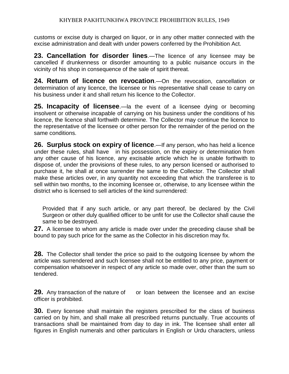customs or excise duty is charged on liquor, or in any other matter connected with the excise administration and dealt with under powers conferred by the Prohibition Act.

**23. Cancellation for disorder lines**.—The licence of any licensee may be cancelled if drunkenness or disorder amounting to a public nuisance occurs in the vicinity of his shop in consequence of the sale of spirit thereat.

**24. Return of licence on revocation**.—On the revocation, cancellation or determination of any licence, the licensee or his representative shall cease to carry on his business under it and shall return his licence to the Collector.

**25. Incapacity of licensee**.—la the event of a licensee dying or becoming insolvent or otherwise incapable of carrying on his business under the conditions of his licence, the licence shall forthwith determine. The Collector may continue the licence to the representative of the licensee or other person for the remainder of the period on the same conditions.

**26. Surplus stock on expiry of licence**.—If any person, who has held a licence under these rules, shall have in his possession, on the expiry or determination from any other cause of his licence, any excisable article which he is unable forthwith to dispose of, under the provisions of these rules, to any person licensed or authorised to purchase it, he shall at once surrender the same to the Collector. The Collector shall make these articles over, in any quantity not exceeding that which the transferee is to sell within two months, to the incoming licensee or, otherwise, to any licensee within the district who is licensed to sell articles of the kind surrendered:

Provided that if any such article, or any part thereof, be declared by the Civil Surgeon or other duly qualified officer to be unfit for use the Collector shall cause the same to be destroyed.

**27.** A licensee to whom any article is made over under the preceding clause shall be bound to pay such price for the same as the Collector in his discretion may fix.

**28.** The Collector shall tender the price so paid to the outgoing licensee by whom the article was surrendered and such licensee shall not be entitled to any price, payment or compensation whatsoever in respect of any article so made over, other than the sum so tendered.

**29.** Any transaction of the nature of or loan between the licensee and an excise officer is prohibited.

**30.** Every licensee shall maintain the registers prescribed for the class of business carried on by him, and shall make all prescribed returns punctually. True accounts of transactions shall be maintained from day to day in ink. The licensee shall enter all figures in English numerals and other particulars in English or Urdu characters, unless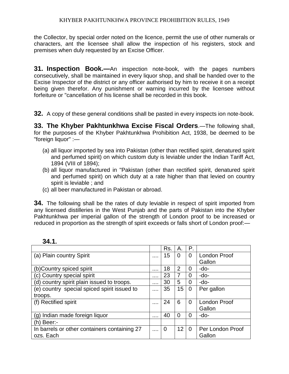the Collector, by special order noted on the licence, permit the use of other numerals or characters, ant the licensee shall allow the inspection of his registers, stock and premises when duly requested by an Excise Officer.

**31. Inspection Book.—**An inspection note-book, with the pages numbers consecutively, shall be maintained in every liquor shop, and shall be handed over to the Excise Inspector of the district or any officer authorised by him to receive it on a receipt being given therefor. Any punishment or warning incurred by the licensee without forfeiture or "cancellation of his license shall be recorded in this book.

**32.** A copy of these general conditions shall be pasted in every inspects ion note-book.

**33. The Khyber Pakhtunkhwa Excise Fiscal Orders**.—The following shall, for the purposes of the Khyber Pakhtunkhwa Prohibition Act, 1938, be deemed to be "foreign liquor" :—

- (a) all liquor imported by sea into Pakistan (other than rectified spirit, denatured spirit and perfumed spirit) on which custom duty is leviable under the Indian Tariff Act, 1894 (VIII of 1894);
- (b) all liquor manufactured in "Pakistan (other than rectified spirit, denatured spirit and perfumed spirit) on which duty at a rate higher than that levied on country spirit is leviable ; and
- (c) all beer manufactured in Pakistan or abroad.

**34.** The following shall be the rates of duty leviable in respect of spirit imported from any licensed distilleries in the West Punjab and the parts of Pakistan into the Khyber Pakhtunkhwa per imperial gallon of the strength of London proof to be increased or reduced in proportion as the strength of spirit exceeds or falls short of London proof:—

|                                              |          | Rs. | А.             | Р.             |                     |
|----------------------------------------------|----------|-----|----------------|----------------|---------------------|
| (a) Plain country Spirit                     | $\cdots$ | 15  | 0              | $\Omega$       | <b>London Proof</b> |
|                                              |          |     |                |                | Gallon              |
| (b)Country spiced spirit                     | $\cdots$ | 18  | $\overline{2}$ | $\overline{0}$ | -do-                |
| c) Country special spirit                    | $\cdots$ | 23  | 7              | 0              | $-do-$              |
| (d) country spirit plain issued to troops.   | $\cdots$ | 30  | 5              | 0              | -do-                |
| (e) country special spiced spirit issued to  | $\cdots$ | 35  | 15             | 0              | Per gallon          |
| troops.                                      |          |     |                |                |                     |
| (f) Rectified spirit                         |          | 24  | 6              | 0              | <b>London Proof</b> |
|                                              |          |     |                |                | Gallon              |
| (g) Indian made foreign liquor               | $\cdots$ | 40  | 0              | 0              | -do-                |
| $(h)$ Beer:-                                 |          |     |                |                |                     |
| In barrels or other containers containing 27 | $\cdots$ | 0   | 12             | $\Omega$       | Per London Proof    |
| ozs. Each                                    |          |     |                |                | Gallon              |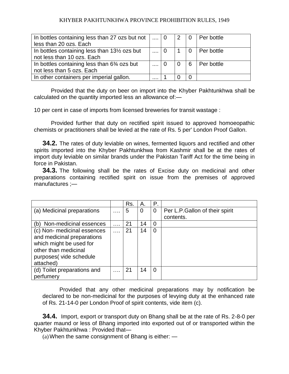| In bottles containing less than 27 ozs but not $\vert \dots \vert$ 0  |                 | 2 | i 0            | Per bottle |
|-----------------------------------------------------------------------|-----------------|---|----------------|------------|
| less than 20 ozs. Each                                                |                 |   |                |            |
| In bottles containing less than 13 <sup>1/2</sup> ozs but             | $\sim 100$      |   | $\overline{0}$ | Per bottle |
| not less than 10 ozs. Each                                            |                 |   |                |            |
| In bottles containing less than 6 <sup>3</sup> / <sub>4</sub> ozs but | $\sim 10^{-10}$ |   | 6              | Per bottle |
| not less than 5 ozs. Each                                             |                 |   |                |            |
| In other containers per imperial gallon.                              | .               |   |                |            |

Provided that the duty on beer on import into the Khyber Pakhtunkhwa shall be calculated on the quantity imported less an allowance of:—

10 per cent in case of imports from licensed breweries for transit wastage :

Provided further that duty on rectified spirit issued to approved homoeopathic chemists or practitioners shall be levied at the rate of Rs. 5 per' London Proof Gallon.

**34.2.** The rates of duty leviable on wines, fermented liquors and rectified and other spirits imported into the Khyber Pakhtunkhwa from Kashmir shall be at the rates of import duty leviable on similar brands under the Pakistan Tariff Act for the time being in force in Pakistan.

**34.3.** The following shall be the rates of Excise duty on medicinal and other preparations containing rectified spirit on issue from the premises of approved manufactures ;—

|                             |          | Rs. | Α.             | Ρ. |                                |
|-----------------------------|----------|-----|----------------|----|--------------------------------|
| (a) Medicinal preparations  | $\cdots$ | 5   | $\overline{0}$ | 0  | Per L.P.Gallon of their spirit |
|                             |          |     |                |    | contents.                      |
| (b) Non-medicinal essences  | $\cdots$ | 21  | 14             | 0  |                                |
| (c) Non- medicinal essences | $\cdots$ | 21  | 14             | 0  |                                |
| and medicinal preparations  |          |     |                |    |                                |
| which might be used for     |          |     |                |    |                                |
| other than medicinal        |          |     |                |    |                                |
| purposes(vide schedule      |          |     |                |    |                                |
| attached)                   |          |     |                |    |                                |
| (d) Toilet preparations and | $\cdots$ | 21  | 14             | 0  |                                |
| perfumery                   |          |     |                |    |                                |

Provided that any other medicinal preparations may by notification be declared to be non-medicinal for the purposes of levying duty at the enhanced rate of Rs. 21-14-0 per London Proof of spirit contents, vide item (c).

**34.4.** Import, export or transport duty on Bhang shall be at the rate of Rs. 2-8-0 per quarter maund or less of Bhang imported into exported out of or transported within the Khyber Pakhtunkhwa : Provided that—

 $(a)$  When the same consignment of Bhang is either:  $\frac{a}{b}$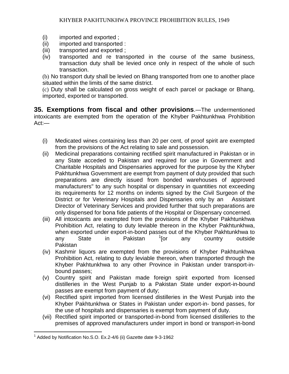- (i) imported and exported ;
- (ii) imported and transported :
- (iii) transported and exported ;
- (iv) transported and re transported in the course of the same business, transaction duty shall be levied once only in respect of the whole of such transaction.

(b) No transport duty shall be levied on Bhang transported from one to another place situated within the limits of the same district.

(c) Duty shall be calculated on gross weight of each parcel or package or Bhang, imported, exported or transported.

**35. Exemptions from fiscal and other provisions**.—The undermentioned intoxicants are exempted from the operation of the Khyber Pakhtunkhwa Prohibition Act:—

- (i) Medicated wines containing less than 20 per cent, of proof spirit are exempted from the provisions of the Act relating to sale and possession.
- (ii) Medicinal preparations containing rectified spirit manufactured in Pakistan or in any State acceded to Pakistan and required for use in Government and Charitable Hospitals and Dispensaries approved for the purpose by the Khyber Pakhtunkhwa Government are exempt from payment of duty provided that such preparations are directly issued from bonded warehouses of approved manufacturers" to any such hospital or dispensary in quantities not exceeding its requirements for 12 months on indents signed by the Civil Surgeon of the District or for Veterinary Hospitals and Dispensaries only by an Assistant Director of Veterinary Services and provided further that such preparations are only dispensed for bona fide patients of the Hospital or Dispensary concerned.
- (iii) All intoxicants are exempted from the provisions of the Khyber Pakhtunkhwa Prohibition Act, relating to duty leviable thereon in the Khyber Pakhtunkhwa, when exported under export-in-bond passes out of the Khyber Pakhtunkhwa to any State in Pakistan <sup>1</sup>[or any country outside Pakistan
- (iv) Kashmir liquors are exempted from the provisions of Khyber Pakhtunkhwa Prohibition Act, relating to duty leviable thereon, when transported through the Khyber Pakhtunkhwa to any other Province in Pakistan under transport-inbound passes;
- (v) Country spirit and Pakistan made foreign spirit exported from licensed distilleries in the West Punjab to a Pakistan State under export-in-bound passes are exempt from payment of duty;
- (vi) Rectified spirit imported from licensed distilleries in the West Punjab into the Khyber Pakhtunkhwa or States in Pakistan under export-in- bond passes, for the use of hospitals and dispensaries is exempt from payment of duty.
- (vii) Rectified spirit imported or transported-in-bond from licensed distilleries to the premises of approved manufacturers under import in bond or transport-in-bond

 $\overline{a}$ 

 $1$  Added by Notification No.S.O. Ex.2-4/6 (ii) Gazette date 9-3-1962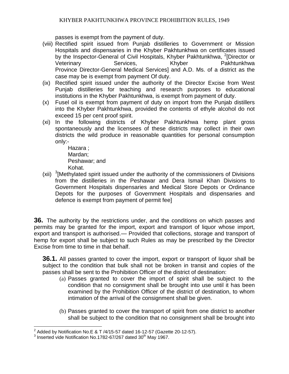passes is exempt from the payment of duty.

- (viii) Rectified spirit issued from Punjab distilleries to Government or Mission Hospitals and dispensaries in the Khyber Pakhtunkhwa on certificates issued by the Inspector-General of Civil Hospitals, Khyber Pakhtunkhwa, <sup>2</sup>[Director or Veterinary **Services, Services Khyber Pakhtunkhwa** Province Director-General Medical Services] and A.D. Ms. of a district as the case may be is exempt from payment Of duty.
- (ix) Rectified spirit issued under the authority of the Director Excise from West Punjab distilleries for teaching and research purposes to educational institutions in the Khyber Pakhtunkhwa, is exempt from payment of duty.
- (x) Fusel oil is exempt from payment of duty on import from the Punjab distillers into the Khyber Pakhtunkhwa, provided the contents of ethyle alcohol do not exceed 15 per cent proof spirit.
- (xi) In the following districts of Khyber Pakhtunkhwa hemp plant gross spontaneously and the licensees of these districts may collect in their own districts the wild produce in reasonable quantities for personal consumption only:-

Hazara ; Mardan; Peshawar; and Kohat.

(xii)  $3$ [Methylated spirit issued under the authority of the commissioners of Divisions from the distilleries in the Peshawar and Dera Ismail Khan Divisions to Government Hospitals dispensaries and Medical Store Depots or Ordinance Depots for the purposes of Government Hospitals and dispensaries and defence is exempt from payment of permit fee]

**36.** The authority by the restrictions under, and the conditions on which passes and permits may be granted for the import, export and transport of liquor whose import, export and transport is authorised.— Provided that collections, storage and transport of hemp for export shall be subject to such Rules as may be prescribed by the Director Excise from time to time in that behalf.

**36.1.** All passes granted to cover the import, export or transport of liquor shall be subject to the condition that bulk shall not be broken in transit and copies of the passes shall be sent to the Prohibition Officer of the district of destination:

- (a) Passes granted to cover the import of spirit shall be subject to the condition that no consignment shall be brought into use until it has been examined by the Prohibition Officer of the district of destination, to whom intimation of the arrival of the consignment shall be given.
- (b) Passes granted to cover the transport of spirit from one district to another shall be subject to the condition that no consignment shall be brought into

 $\overline{a}$ 

<sup>&</sup>lt;sup>2</sup> Added by Notification No.E & T /4/15-57 dated 16-12-57 (Gazette 20-12-57).

 $^3$  Inserted vide Notification No.1782-67/267 dated 30<sup>th</sup> May 1967.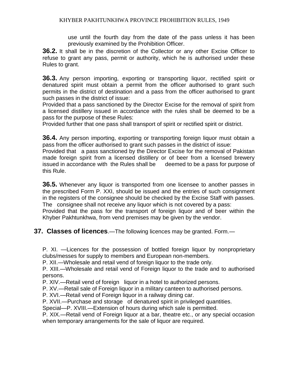use until the fourth day from the date of the pass unless it has been previously examined by the Prohibition Officer.

**36.2.** It shall be in the discretion of the Collector or any other Excise Officer to refuse to grant any pass, permit or authority, which he is authorised under these Rules to grant.

**36.3.** Any person importing, exporting or transporting liquor, rectified spirit or denatured spirit must obtain a permit from the officer authorised to grant such permits in the district of destination and a pass from the officer authorised to grant such passes in the district of issue:

Provided that a pass sanctioned by the Director Excise for the removal of spirit from a licensed distillery issued in accordance with the rules shall be deemed to be a pass for the purpose of these Rules:

Provided further that one pass shall transport of spirit or rectified spirit or district.

**36.4.** Any person importing, exporting or transporting foreign liquor must obtain a pass from the officer authorised to grant such passes in the district of issue:

Provided that a pass sanctioned by the Director Excise for the removal of Pakistan made foreign spirit from a licensed distillery or of beer from a licensed brewery issued in accordance with the Rules shall be deemed to be a pass for purpose of this Rule.

**36.5.** Whenever any liquor is transported from one licensee to another passes in the prescribed Form P. XXI, should be issued and the entries of such consignment in the registers of the consignee should be checked by the Excise Staff with passes. The consignee shall not receive any liquor which is not covered by a pass:

Provided that the pass for the transport of foreign liquor and of beer within the Khyber Pakhtunkhwa, from vend premises may be given by the vendor.

**37. Classes of licences**.—The following licences may be granted. Form.—

P. XI. —Licences for the possession of bottled foreign liquor by nonproprietary clubs/messes for supply to members and European non-members.

P. XII.—Wholesale and retail vend of foreign liquor to the trade only.

P. XIII.—Wholesale and retail vend of Foreign liquor to the trade and to authorised persons.

P. XIV.—Retail vend of foreign liquor in a hotel to authorized persons.

P. XV.—Retail sale of Foreign liquor in a military canteen to authorised persons.

P. XVI.—Retail vend of Foreign liquor in a railway dining car.

P. XVII.—Purchase and storage of denatured spirit in privileged quantities.

Special—P. XVIII.—Extension of hours during which sale is permitted.

P. XIX.—Retail vend of Foreign liquor at a bar, theatre etc., or any special occasion when temporary arrangements for the sale of liquor are required.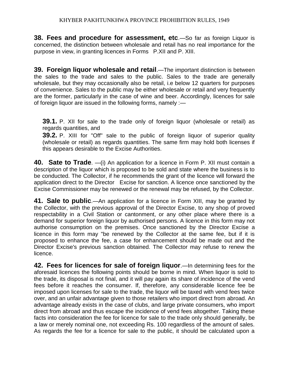**38. Fees and procedure for assessment, etc**.—So far as foreign Liquor is concerned, the distinction between wholesale and retail has no real importance for the purpose in view, in granting licences in Forms P.XII and P. XIII.

**39. Foreign liquor wholesale and retail**.—The important distinction is between the sales to the trade and sales to the public. Sales to the trade are generally wholesale, but they may occasionally also be retail, i.e below 12 quarters for purposes of convenience. Sales to the public may be either wholesale or retail and very frequently are the former, particularly in the case of wine and beer. Accordingly, licences for sale of foreign liquor are issued in the following forms, namely :—

**39.1.** P. XII for sale to the trade only of foreign liquor (wholesale or retail) as regards quantities, and

**39.2.** P. XIII for "Off" sale to the public of foreign liquor of superior quality (wholesale or retail) as regards quantities. The same firm may hold both licenses if this appears desirable to the Excise Authorities.

**40. Sate to Trade**. —(i) An application for a licence in Form P. XII must contain a description of the liquor which is proposed to be sold and state where the business is to be conducted. The Collector, if he recommends the grant of the licence will forward the application direct to the Director Excise for sanction. A licence once sanctioned by the Excise Commissioner may be renewed or the renewal may be refused, by the Collector.

**41. Sale to public**.—An application for a licence in Form XIII, may be granted by the Collector, with the previous approval of the Director Excise, to any shop of proved respectability in a Civil Station or cantonment, or any other place where there is a demand for superior foreign liquor by authorised persons. A licence in this form may not authorise consumption on the premises. Once sanctioned by the Director Excise a licence in this form may "be renewed by the Collector at the same fee, but if it is proposed to enhance the fee, a case for enhancement should be made out and the Director Excise's previous sanction obtained. The Collector may refuse to renew the licence.

**42. Fees for licences for sale of foreign liquor**.—In determining fees for the aforesaid licences the following points should be borne in mind. When liquor is sold to the trade, its disposal is not final, and it will pay again its share of incidence of the vend fees before it reaches the consumer. If, therefore, any considerable licence fee be imposed upon licenses for sale to the trade, the liquor will be taxed with vend fees twice over, and an unfair advantage given to those retailers who import direct from abroad. An advantage already exists in the case of clubs, and large private consumers, who import direct from abroad and thus escape the incidence of vend fees altogether. Taking these facts into consideration the fee for licence for sale to the trade only should generally, be a law or merely nominal one, not exceeding Rs. 100 regardless of the amount of sales. As regards the fee for a licence for sale to the public, it should be calculated upon a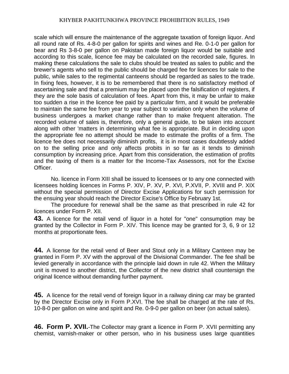scale which will ensure the maintenance of the aggregate taxation of foreign liquor. And all round rate of Rs. 4-8-0 per gallon for spirits and wines and Re. 0-1-0 per gallon for bear and Rs 3-8-0 per gallon on Pakistan made foreign liquor would be suitable and according to this scale, licence fee may be calculated on the recorded sale, figures. In making these calculations the sale to clubs should be treated as sales to public and the brewer's agents who sell to the public should be charged fee for licences for sale to the public, while sales to the regimental canteens should be regarded as sales to the trade. In fixing fees, however, it is to be remembered that there is no satisfactory method of ascertaining sale and that a premium may be placed upon the falsification of registers, if they are the sole basis of calculation of fees. Apart from this, it may be unfair to make too sudden a rise in the licence fee paid by a particular firm, and it would be preferable to maintain the same fee from year to year subject to variation only when the volume of business undergoes a market change rather than to make frequent alteration. The recorded volume of sales is, therefore, only a general guide, to be taken into account along with other 'matters in determining what fee is appropriate. But in deciding upon the appropriate fee no attempt should be made to estimate the profits of a firm. The licence fee does not necessarily diminish profits, it is in most cases doubtlessly added on to the selling price and only affects probits in so far as it tends to diminish consumption by increasing price. Apart from this consideration, the estimation of profits and the taxing of them is a matter for the Income-Tax Assessors, not for the Excise Officer.

No. licence in Form XIII shall be issued to licensees or to any one connected with licensees holding licences in Forms P. XIV, P. XV, P. XVI, P.XVII, P. XVIII and P. XIX without the special permission of Director Excise Applications for such permission for the ensuing year should reach the Director Excise's Office by February 1st.

The procedure for renewal shall be the same as that prescribed in rule 42 for licences under Form P. XII.

**43.** A licence for the retail vend of liquor in a hotel for "one" consumption may be granted by the Collector in Form P. XIV. This licence may be granted for 3, 6, 9 or 12 months at proportionate fees.

**44.** A license for the retail vend of Beer and Stout only in a Military Canteen may be granted in Form P. XV with the approval of the Divisional Commander. The fee shall be levied generally in accordance with the principle laid down in rule 42. When the Military unit is moved to another district, the Collector of the new district shall countersign the original licence without demanding further payment.

**45.** A licence for the retail vend of foreign liquor in a railway dining car may be granted by the Director Excise only in Form P.XVI. The fee shall be charged at the rate of Rs. 10-8-0 per gallon on wine and spirit and Re. 0-9-0 per gallon on beer (on actual sales).

**46. Form P. XVII.**-The Collector may grant a licence in Form P. XVII permitting any chemist, varnish-maker or other person, who in his business uses large quantities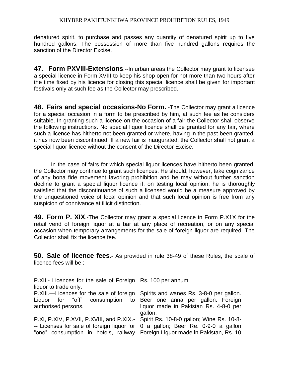denatured spirit, to purchase and passes any quantity of denatured spirit up to five hundred gallons. The possession of more than five hundred gallons requires the sanction of the Director Excise.

**47. Form PXVIII-Extensions**.--ln urban areas the Collector may grant to licensee a special licence in Form XVIII to keep his shop open for not more than two hours after the time fixed by his licence for closing this special licence shall be given for important festivals only at such fee as the Collector may prescribed.

**48. Fairs and special occasions-No Form.** -The Collector may grant a licence for a special occasion in a form to be prescribed by him, at such fee as he considers suitable. In granting such a licence on the occasion of a fair the Collector shall observe the following instructions. No special liquor licence shall be granted for any fair, where such a licence has hitherto not been granted or where, having in the past been granted, it has now been discontinued. If a new fair is inaugurated, the Collector shall not grant a special liquor licence without the consent of the Director Excise.

In the case of fairs for which special liquor licences have hitherto been granted, the Collector may continue to grant such licences. He should, however, take cognizance of any bona fide movement favoring prohibition and he may without further sanction decline to grant a special liquor licence if, on testing local opinion, he is thoroughly satisfied that the discontinuance of such a licensed would be a measure approved by the unquestioned voice of local opinion and that such local opinion is free from any suspicion of connivance at illicit distinction.

**49. Form P. XIX**.-The Collector may grant a special licence in Form P.X1X for the retail vend of foreign liquor at a bar at any place of recreation, or on any special occasion when temporary arrangements for the sale of foreign liquor are required. The Collector shall fix the licence fee.

**50. Sale of licence fees**.- As provided in rule 38-49 of these Rules, the scale of licence fees will be :-

| P.XII.- Licences for the sale of Foreign Rs. 100 per annum<br>liquor to trade only. |                                       |
|-------------------------------------------------------------------------------------|---------------------------------------|
| P.XIII.—Licences for the sale of foreign Spirits and wanes Rs. 3-8-0 per gallon.    |                                       |
| Liguor for "off" consumption to Beer one anna per gallon. Foreign                   |                                       |
| authorised persons.                                                                 | liquor made in Pakistan Rs. 4-8-0 per |
|                                                                                     | gallon.                               |
| P.XI, P.XIV, P.XVII, P.XVIII, and P.XIX.- Spirit Rs. 10-8-0 gallon; Wine Rs. 10-8-  |                                       |
| -- Licenses for sale of foreign liquor for 0 a gallon; Beer Re. 0-9-0 a gallon      |                                       |
| "one" consumption in hotels, railway Foreign Liquor made in Pakistan, Rs. 10        |                                       |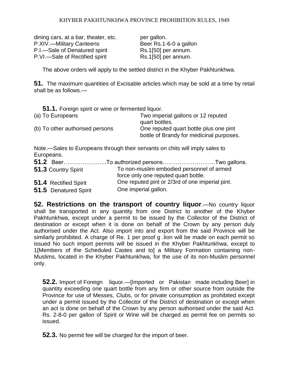dining cars, at a bar, theater, etc. per gallon. P.XIV.—Military Canteens Beer Rs.1-6-0 a gallon P.I.—Sale of Denatured spirit Rs.1[50] per annum. P.VI.—Sale of Rectified spirit Rs.1[50] per annum.

The above orders will apply to the settled district in the Khyber Pakhtunkhwa.

**51.** The maximum quantities of Excisable articles which may be sold at a time by retail shall be as follows.—

| <b>51.1.</b> Foreign spirit or wine or fermented liquor. |                                                                                    |  |  |  |  |
|----------------------------------------------------------|------------------------------------------------------------------------------------|--|--|--|--|
| (a) To Europeans                                         | Two imperial gallons or 12 reputed<br>quart bottles.                               |  |  |  |  |
| (b) To other authorised persons                          | One reputed quart bottle plus one pint<br>bottle of Brandy for medicinal purposes. |  |  |  |  |

Note.—Sales to Europeans through their servants on chits will imply sales to Europeans.

|                       | 51.2 BeerTo authorized personsTwo gallons.                                        |  |
|-----------------------|-----------------------------------------------------------------------------------|--|
| 51.3 Country Spirit   | To non-muslim embodied personnel of armed<br>force only one reputed quart bottle. |  |
| 51.4 Rectified Spirit | One reputed pint or 2/3rd of one imperial pint.                                   |  |
| 51.5 Denatured Spirit | One imperial gallon.                                                              |  |

**52. Restrictions on the transport of country liquor**.—No country liquor shall be transported in any quantity from one District to another of the Khyber Pakhtunkhwa, except under a permit to be issued by the Collector of the District of destination or except when it is done on behalf of the Crown by any person duly authorised under the Act. Also import into and export from the said Province will be similarly prohibited. A charge of Re. 1 per proof g .lion will be made on each permit so issued No such import permits will be issued in the Khyber Pakhtunkhwa, except to 1[Members of the Scheduled Castes and to] a Military Formation containing non-Muslims, located in the Khyber Pakhtunkhwa, for the use of its non-Muslim personnel only.

**52.2.** Import of Foreign liquor.—[Imported or Pakistan made including Beer] in quantity exceeding one quart bottle from any firm or other source from outside the Province for use of Messes, Clubs, or for private consumption as prohibited except under a permit issued by the Collector of the District of destination or except when an act is done on behalf of the Crown by any person authorised under the said Act. Rs. 2-8-0 per gallon of Spirit or Wine will be charged as permit fee on permits so issued.

**52.3.** No permit fee will be charged for the import of beer.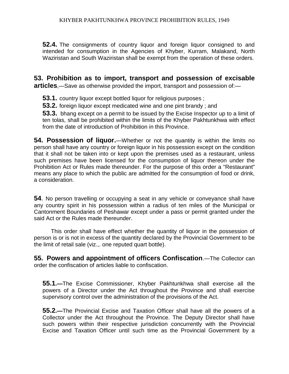**52.4.** The consignments of country liquor and foreign liquor consigned to and intended for consumption in the Agencies of Khyber, Kurram, Malakand, North Waziristan and South Waziristan shall be exempt from the operation of these orders.

**53. Prohibition as to import, transport and possession of excisable** 

**articles**,—Save as otherwise provided the import, transport and possession of:—

**53.1.** country liquor except bottled liquor for religious purposes ;

**53.2.** foreign liquor except medicated wine and one pint brandy ; and

**53.3.** bhang except on a permit to be issued by the Excise Inspector up to a limit of ten tolas, shall be prohibited within the limits of the Khyber Pakhtunkhwa with effect from the date of introduction of Prohibition in this Province.

**54. Possession of liquor.**—Whether or not the quantity is within the limits no person shall have any country or foreign liquor in his possession except on the condition that it shall not be taken into or kept upon the premises used as a restaurant, unless such premises have been licensed for the consumption of liquor thereon under the Prohibition Act or Rules made thereunder. For the purpose of this order a "Restaurant" means any place to which the public are admitted for the consumption of food or drink, a consideration.

**54**. No person travelling or occupying a seat in any vehicle or conveyance shall have any country spirit in his possession within a radius of ten miles of the Municipal or Cantonment Boundaries of Peshawar except under a pass or permit granted under the said Act or the Rules made thereunder.

 This order shall have effect whether the quantity of liquor in the possession of person is or is not in excess of the quantity declared by the Provincial Government to be the limit of retail sale (viz.,. one reputed quart bottle).

**55. Powers and appointment of officers Confiscation**.—The Collector can order the confiscation of articles liable to confiscation.

**55.1.—**The Excise Commissioner, Khyber Pakhtunkhwa shall exercise all the powers of a Director under the Act throughout the Province and shall exercise supervisory control over the administration of the provisions of the Act.

**55.2.—**The Provincial Excise and Taxation Officer shall have all the powers of a Collector under the Act throughout the Province. The Deputy Director shall have such powers within their respective jurisdiction concurrently with the Provincial Excise and Taxation Officer until such time as the Provincial Government by a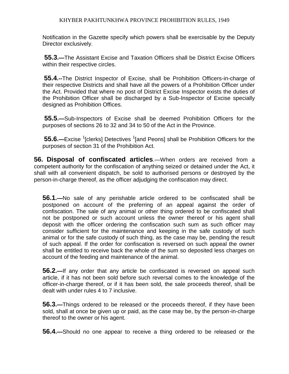Notification in the Gazette specify which powers shall be exercisable by the Deputy Director exclusively.

**55.3.—**The Assistant Excise and Taxation Officers shall be District Excise Officers within their respective circles.

**55.4.--**The District Inspector of Excise, shall be Prohibition Officers-in-charge of their respective Districts and shall have all the powers of a Prohibition Officer under the Act. Provided that where no post of District Excise Inspector exists the duties of the Prohibition Officer shall be discharged by a Sub-Inspector of Excise specially designed as Prohibition Offices.

**55.5.—**Sub-Inspectors of Excise shall be deemed Prohibition Officers for the purposes of sections 26 to 32 and 34 to 50 of the Act in the Province.

**55.6.—Excise** <sup>1</sup>[clerks] Detectives <sup>1</sup>[and Peons] shall be Prohibition Officers for the purposes of section 31 of the Prohibition Act.

**56. Disposal of confiscated articles**.—When orders are received from a competent authority for the confiscation of anything seized or detained under the Act, it shall with all convenient dispatch, be sold to authorised persons or destroyed by the person-in-charge thereof, as the officer adjudging the confiscation may direct.

**56.1.—**No sale of any perishable article ordered to be confiscated shall be postponed on account of the preferring of an appeal against the order of confiscation. The sale of any animal or other thing ordered to be confiscated shall not be postponed or such account unless the owner thereof or his agent shall deposit with the officer ordering the confiscation such sum as such officer may consider sufficient for the maintenance and keeping in the safe custody of such animal or for the safe custody of such thing, as the case may be, pending the result of such appeal. If the order for confiscation is reversed on such appeal the owner shall be entitled to receive back the whole of the sum so deposited less charges on account of the feeding and maintenance of the animal.

**56.2.—**If any order that any article be confiscated is reversed on appeal such article, if it has not been sold before such reversal comes to the knowledge of the officer-in-charge thereof, or if it has been sold, the sale proceeds thereof, shall be dealt with under rules 4 to 7 inclusive.

**56.3.—**Things ordered to be released or the proceeds thereof, if they have been sold, shall at once be given up or paid, as the case may be, by the person-in-charge thereof to the owner or his agent.

**56.4.—**Should no one appear to receive a thing ordered to be released or the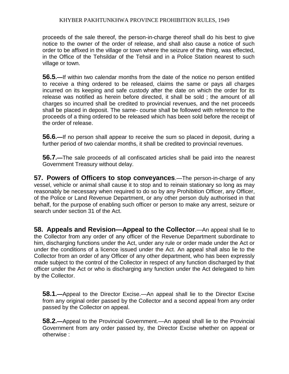proceeds of the sale thereof, the person-in-charge thereof shall do his best to give notice to the owner of the order of release, and shall also cause a notice of such order to be affixed in the village or town where the seizure of the thing, was effected, in the Office of the Tehsildar of the Tehsil and in a Police Station nearest to such village or town.

**56.5.—**If within two calendar months from the date of the notice no person entitled to receive a thing ordered to be released, claims the same or pays all charges incurred on its keeping and safe custody after the date on which the order for its release was notified as herein before directed, it shall be sold ; the amount of all charges so incurred shall be credited to provincial revenues, and the net proceeds shall be placed in deposit. The same- course shall be followed with reference to the proceeds of a thing ordered to be released which has been sold before the receipt of the order of release.

**56.6.—**If no person shall appear to receive the sum so placed in deposit, during a further period of two calendar months, it shall be credited to provincial revenues.

**56.7.—**The sale proceeds of all confiscated articles shall be paid into the nearest Government Treasury without delay.

**57. Powers of Officers to stop conveyances**.—The person-in-charge of any vessel, vehicle or animal shall cause it to stop and to reinain stationary so long as may reasonably be necessary when required to do so by any Prohibition Officer, any Officer, of the Police or Land Revenue Department, or any other person duly authorised in that behalf, for the purpose of enabling such officer or person to make any arrest, seizure or search under section 31 of the Act.

**58. Appeals and Revision—Appeal to the Collector**.—An appeal shall lie to the Collector from any order of any officer of the Revenue Department subordinate to him, discharging functions under the Act, under any rule or order made under the Act or under the conditions of a licence issued under the Act. An appeal shall also lie to the Collector from an order of any Officer of any other department, who has been expressly made subject to the control of the Collector in respect of any function discharged by that officer under the Act or who is discharging any function under the Act delegated to him by the Collector.

**58.1.—**Appeal to the Director Excise.—An appeal shall lie to the Director Excise from any original order passed by the Collector and a second appeal from any order passed by the Collector on appeal.

**58.2.—**Appeal to the Provincial Government.—An appeal shall lie to the Provincial Government from any order passed by, the Director Excise whether on appeal or otherwise :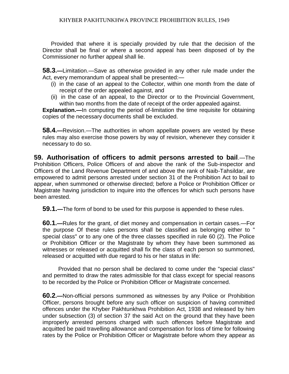Provided that where it is specially provided by rule that the decision of the Director shall be final or where a second appeal has been disposed of by the Commissioner no further appeal shall lie.

**58.3.—**Limitation.—Save as otherwise provided in any other rule made under the Act, every memorandum of appeal shall be presented:—

- (i) in the case of an appeal to the Collector, within one month from the date of receipt of the order appealed against, and
- (ii) in the case of an appeal, to the Director or to the Provincial Government, within two months from the date of receipt of the order appealed against.

**Explanation.—**In computing the period of-limitation the time requisite for obtaining copies of the necessary documents shall be excluded.

**58.4.—**Revision.—The authorities in whom appellate powers are vested by these rules may also exercise those powers by way of revision, whenever they consider it necessary to do so.

**59. Authorisation of officers to admit persons arrested to bail**.—The Prohibition Officers, Police Officers of and above the rank of the Sub-inspector and Officers of the Land Revenue Department of and above the rank of Naib-Tahsildar, are empowered to admit persons arrested under section 31 of the Prohibition Act to bail to appear, when summoned or otherwise directed; before a Police or Prohibition Officer or Magistrate having jurisdiction to inquire into the offences for which such persons have been arrested.

**59.1.—**The form of bond to be used for this purpose is appended to these rules.

**60.1.—**Rules for the grant, of diet money and compensation in certain cases.—For the purpose Of these rules persons shall be classified as belonging either to " special class" or to any one of the three classes specified in rule 60 (2). The Police or Prohibition Officer or the Magistrate by whom they have been summoned as witnesses or released or acquitted shall fix the class of each person so summoned, released or acquitted with due regard to his or her status in life:

 Provided that no person shall be declared to come under the "special class" and permitted to draw the rates admissible for that class except for special reasons to be recorded by the Police or Prohibition Officer or Magistrate concerned.

**60.2.—**Non-official persons summoned as witnesses by any Police or Prohibition Officer, persons brought before any such officer on suspicion of having committed offences under the Khyber Pakhtunkhwa Prohibition Act, 1938 and released by him under subsection (3) of section 37 the said Act on the ground that they have been improperly arrested persons charged with such offences before Magistrate and acquitted be paid travelling allowance and compensation for loss of time for following rates by the Police or Prohibition Officer or Magistrate before whom they appear as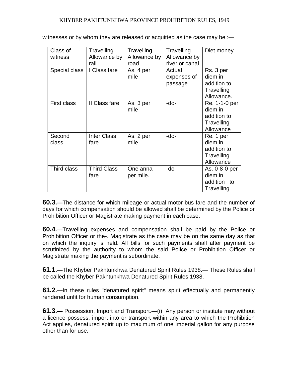| Class of<br>witness | Travelling<br>Allowance by<br>rail | Travelling<br>Allowance by<br>road | Travelling<br>Allowance by<br>river or canal | Diet money                                                         |
|---------------------|------------------------------------|------------------------------------|----------------------------------------------|--------------------------------------------------------------------|
| Special class       | I Class fare                       | As. 4 per<br>mile                  | Actual<br>expenses of<br>passage             | Rs. 3 per<br>diem in<br>addition to<br>Travelling<br>Allowance.    |
| First class         | II Class fare                      | As. 3 per<br>mile                  | -do-                                         | Re. 1-1-0 per<br>diem in<br>addition to<br>Travelling<br>Allowance |
| Second<br>class     | <b>Inter Class</b><br>fare         | As. 2 per<br>mile                  | -do-                                         | Re. 1 per<br>diem in<br>addition to<br>Travelling<br>Allowance     |
| Third class         | <b>Third Class</b><br>fare         | One anna<br>per mile.              | -do-                                         | As. 0-8-0 per<br>diem in<br>addition to<br>Travelling              |

witnesses or by whom they are released or acquitted as the case may be :-

**60.3.—**The distance for which mileage or actual motor bus fare and the number of days for which compensation should be allowed shall be determined by the Police or Prohibition Officer or Magistrate making payment in each case.

**60.4.—**Travelling expenses and compensation shall be paid by the Police or Prohibition Officer or the-. Magistrate as the case may be on the same day as that on which the inquiry is held. All bills for such payments shall after payment be scrutinized by the authority to whom the said Police or Prohibition Officer or Magistrate making the payment is subordinate.

**61.1.—**The Khyber Pakhtunkhwa Denatured Spirit Rules 1938.— These Rules shall be called the Khyber Pakhtunkhwa Denatured Spirit Rules 1938.

**61.2.—**In these rules "denatured spirit" means spirit effectually and permanently rendered unfit for human consumption.

**61.3.—** Possession, Import and Transport.—(i) Any person or institute may without a licence possess, import into or transport within any area to which the Prohibition Act applies, denatured spirit up to maximum of one imperial gallon for any purpose other than for use.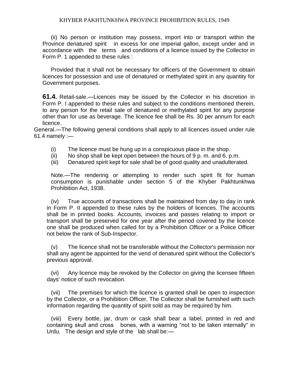(ii) No person or institution may possess, import into or transport within the Province denatured spirit in excess for one imperial gallon, except under and in accordance with the terms and conditions of a licence issued by the Collector in Form P. 1 appended to these rules :

Provided that it shall not be necessary for officers of the Government to obtain licences for possession and use of denatured or methylated spirit in any quantity for Government purposes.

**61.4.** Retail-sale.—Licences may be issued by the Collector in his discretion in Form P. I appended to these rules and subject to the conditions mentioned therein, to any person for the retail sale of denatured or methylated spirit for any purpose other than for use as beverage. The licence fee shall be Rs. 30 per annum for each licence.

General.—The following general conditions shall apply to all licences issued under rule  $61.4$  namely :-

- (i) The licence must be hung up in a conspicuous place in the shop.
- (ii) No shop shall be kept open between the hours of  $9 p. m.$  and  $6. p.m.$
- (iii) Denatured spirit kept for sale shall be of good quality and unadulterated.

Note.—The rendering or attempting to render such spirit fit for human consumption is punishable under section 5 of the Khyber Pakhtunkhwa Prohibition Act, 1938.

(iv) True accounts of transactions shall be maintained from day to day in rank in Form P. II appended to these rules by the holders of licences. The accounts shall be in printed books. Accounts, invoices and passes relating to import or transport shall be preserved for one year after the period covered by the licence one shall be produced when called for by a Prohibition Officer or a Police Officer not below the rank of Sub-Inspector.

(v) The licence shall not be transferable without the Collector's permission nor shall any agent be appointed for the vend of denatured spirit without the Collector's previous approval.

(vi) Any licence may be revoked by the Collector on giving the licensee fifteen days' notice of such revocation.

(vii) The premises for which the licence is granted shall be open to inspection by the Collector, or a Prohibition Officer. The Collector shall be furnished with such information regarding the quantity of spirit sold as may be required by him.

(viii) Every bottle, jar, drum or cask shall bear a label, printed in red and containing skull and cross bones, with a warning "not to be taken internally" in Urdu. The design and style of the lab shall be:—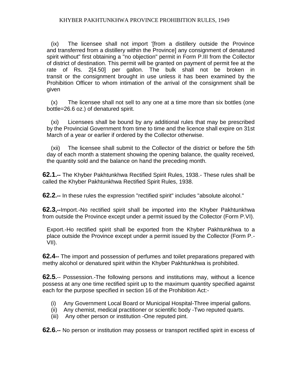(ix) The licensee shall not import '[from a distillery outside the Province and transferred from a distillery within the Province] any consignment of denatured spirit without" first obtaining a "no objection" permit in Form P.III from the Collector of district of destination. This permit will be granted on payment of permit fee at the rate of Rs. 2[4.50] per gallon. The bulk shall not be broken in transit or the consignment brought in use unless it has been examined by the Prohibition Officer to whom intimation of the arrival of the consignment shall be given

(x) The licensee shall not sell to any one at a time more than six bottles (one bottle=26.6 oz.) of denatured spirit.

(xi) Licensees shall be bound by any additional rules that may be prescribed by the Provincial Government from time to time and the licence shall expire on 31st March of a year or earlier if ordered by the Collector otherwise.

(xii) The licensee shall submit to the Collector of the district or before the 5th day of each month a statement showing the opening balance, the quality received, the quantity sold and the balance on hand the preceding month.

**62.1.--** The Khyber Pakhtunkhwa Rectified Spirit Rules, 1938.- These rules shall be called the Khyber Pakhtunkhwa Rectified Spirit Rules, 1938.

**62.2.--** In these rules the expression "rectified spirit" includes "absolute alcohol."

**62.3,--**Import.-No rectified spirit shall be imported into the Khyber Pakhtunkhwa from outside the Province except under a permit issued by the Collector (Form P.VI).

Export.-Ho rectified spirit shall be exported from the Khyber Pakhtunkhwa to a place outside the Province except under a permit issued by the Collector (Form P.- VII).

**62.4--** The import and possession of perfumes and toilet preparations prepared with methy alcohol or denatured spirit within the Khyber Pakhtunkhwa is prohibited.

**62.5.**-- Possession.-The following persons and institutions may, without a licence possess at any one time rectified spirit up to the maximum quantity specified against each for the purpose specified in section 16 of the Prohibition Act:-

- (i) Any Government Local Board or Municipal Hospital-Three imperial gallons.
- (ii) Any chemist, medical practitioner or scientific body -Two reputed quarts.
- (iii) Any other person or institution -One reputed pint.

**62.6.--** No person or institution may possess or transport rectified spirit in excess of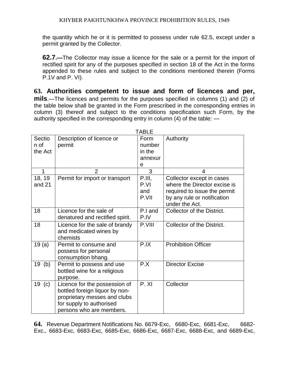the quantity which he or it is permitted to possess under rule 62.5, except under a permit granted by the Collector.

**62.7.—**The Collector may issue a licence for the sale or a permit for the import of rectified spirit for any of the purposes specified in section 18 of the Act in the forms appended to these rules and subject to the conditions mentioned therein (Forms P.1V and P. VI).

**63. Authorities competent to issue and form of licences and per, mils**.—The licences and permits for the purposes specified in columns (1) and (2) of the table below shall be granted in the Form prescribed in the corresponding entries in column (3) thereof and subject to the conditions specification such Form, by the authority specified in the corresponding entry in column (4) of the table: —

| <b>TABLE</b> |                                 |         |                              |  |  |
|--------------|---------------------------------|---------|------------------------------|--|--|
| Sectio       | Description of licence or       | Form    | Authority                    |  |  |
| n of         | permit                          | number  |                              |  |  |
| the Act      |                                 | in the  |                              |  |  |
|              |                                 | annexur |                              |  |  |
|              |                                 | e       |                              |  |  |
| 1            | $\overline{2}$                  | 3       | 4                            |  |  |
| 18, 19       | Permit for import or transport  | P.III,  | Collector except in cases    |  |  |
| and 21       |                                 | P.VI    | where the Director excise is |  |  |
|              |                                 | and     | required to issue the permit |  |  |
|              |                                 | P.VII   | by any rule or notification  |  |  |
|              |                                 |         | under the Act.               |  |  |
| 18           | Licence for the sale of         | P.I and | Collector of the District.   |  |  |
|              | denatured and rectified spirit. | P.IV    |                              |  |  |
| 18           | Licence for the sale of brandy  | P.VIII  | Collector of the District.   |  |  |
|              | and medicated wines by          |         |                              |  |  |
|              | chemists                        |         |                              |  |  |
| 19(a)        | Permit to consume and           | P.IX    | <b>Prohibition Officer</b>   |  |  |
|              | possess for personal            |         |                              |  |  |
|              | consumption bhang.              |         |                              |  |  |
| 19<br>(b)    | Permit to possess and use       | P.X     | <b>Director Excise</b>       |  |  |
|              | bottled wine for a religious    |         |                              |  |  |
|              | purpose.                        |         |                              |  |  |
| 19<br>(c)    | Licence for the possession of   | P. XI   | Collector                    |  |  |
|              | bottled foreign liquor by non-  |         |                              |  |  |
|              | proprietary messes and clubs    |         |                              |  |  |
|              | for supply to authorised        |         |                              |  |  |
|              | persons who are members.        |         |                              |  |  |

**64.** Revenue Department Notifications No. 6679-Exc, 6680-Exc, 6681-Exc, 6682- Exc., 6683-Exc, 6683-Exc, 6685-Exc, 6686-Exc, 6687-Exc, 6688-Exc, and 6689-Exc,